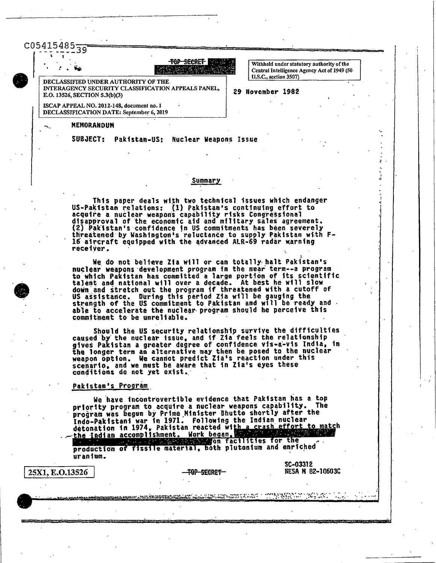$C05415485_{79}$ 

TOP SECRET 12 42 14 9 W

DECLASSIFIED UNDER AUTHORITY OF THE INTERAGENCY SECURITY CLASSIFICATION APPEALS PANEL, E.O. 13526, SECTION 5.3(b)(3)

Withheld under statutory authority of the Central Intelligence Agency Act of 1949 (50 U.S.C., section 3507)

29 November 1982

ISCAP APPEAL NO. 2012-148, document no. 1 DECLASSIFICATION DATE: September 6, 2019

## **MEMORANDUM**

SUBJECT: Pakistan-US: Nuclear Weapons Issue

## Summary

This paper deals with two technical issues which endanger US-Pakistan relations: (1) Pakistan's continuing effort to acquire a nuclear weapons capability risks Congressional disapproval of the economic aid and military sales agreement. (2) Pakistan's confidence in US commitments has been severely threatened by Washington's reluctance to supply Pakistan with F-16 aircraft equipped with the advanced ALR-69 radar warning receiver.

We do not believe Zia will or can totally halt Pakistan's nuclear weapons development program in the near term--a program to which Pakistan has committed a large portion of its scientific talent and national will over a decade. At best he will slow down and stretch out the program if threatened with a cutoff of<br>US assistance. During this period Zia will be gauging the<br>strength of the US commitment to Pakistan and will be ready and able to accelerate the nuclear program should he perceive this commitment to be unreliable.

Should the US security relationship survive the difficulties<br>caused by the nuclear issue, and if Zia feels the relationship<br>gives Pakistan a greater degree of confidence vis-a-vis India, in<br>the longer term an alternative m scenario, and we must be aware that in Zia's eyes these conditions do not yet exist.

#### Pakistan's Program

We have incontrovertible evidence that Pakistan has a top priority program to acquire a nuclear weapons capability. The program was begun by Prime Minister Bhutto shortly after the Indo-Pakistani war in 1971. Following the Indian nuclear<br>detonation in 1974, Pakistan reacted with a crash effort to match<br>the Indian accomplishment. Work began, the probability of the

production of fissile material, both plutonium and enriched uranium.

25X1, E.O.13526

TOP SECRET

a gala shekarar wana a matsa 1970.<br>Balimba wasan ƙwallo a ƙafa ta ƙasar Ingila.

SC-03312 **NESA N 82-10603C**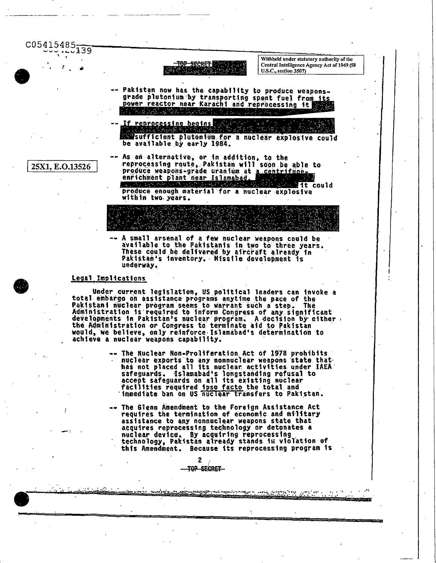C05415485-39



Withheld under statutory authority of the Central Intelligence Agency Act of 1949 (50 U.S.C., section 3507)

- Pakistan now has the capability to produce weaponsgrade plutonium by transporting spent fuel from its<br>power reactor near Karachi and reprocessing it <u>동료 노립 나뉨</u>
- If reprocessing begins sufficient plutonium for a nuclear explosive could be available by early 1984.

25X1, E.O.13526

- As an alternative, or in addition, to the reprocessing route, Pakistan will soon be able to produce weapons-grade uranium at a centrifuge. enrichment plant near Islamabad. a a se 不足 数据 大師  $\mathcal{A}$ ura Tu lit could produce enough material for a nuclear explosive within two years.

A small arsenal of a few nuclear weapons could be available to the Pakistanis in two to three years. These could be delivered by aircraft already in<br>Pakistan's inventory. Missile development is underway.

## Legal Implications

Under current legislation, US political leaders can invoke a total embargo on assistance programs anytime the pace of the Pakistani nuclear program seems to warrant such a step. The Administration is required to inform Congress of any significant<br>developments in Pakistan's nuclear program. A decision by either,<br>the Administration or Congress to terminate aid to Pakistan would, we believe, only reinforce Islamabad's determination to achieve a nuclear weapons capability.

> -- The Nuclear Non-Proliferation Act of 1978 prohibits<br>nuclear exports to any nonnuclear weapons state that<br>has not placed all its nuclear activities under IAEA safeguards. Islamabad's longstanding refusal to accept safeguards on all its existing nuclear facilities required ipso facto the total and<br>immediate ban on US nuclear transfers to Pakistan.

> -- The Glenn Amendment to the Foreign Assistance Act requires the termination of economic and military assistance to any nonnuclear weapons state that acquires reprocessing technology or detonates a nuclear device. By acquiring reprocessing technology, Pakistan already stands in violation of this Amendment. Because its reprocessing program is

> > ျား သည် အသက္ကန္း ျပည္တြင္းမင္ရမည္နယ္အေနရာမည္ဆိုင္ေရးမွာ သံုးသည္ မေက်ာ္ေက်ာင္းေတြ ေနတာ ေရွ႕ သံုး ကုန္ အသက္ ဒီေရ<br>အသက္ကေတာ့ အတြက္ အေမရိကန္ အသက္ကို အမွတ္အတြက္ အေမရိကန္ အေမရိကန္ အသက္ကေတာ့ အသက္ကို အသက္ကေတာ့ အေမရိကန္ အေမရိကန္ အထ

Service Control

 $\mathbf{z}$ -TOP SECRET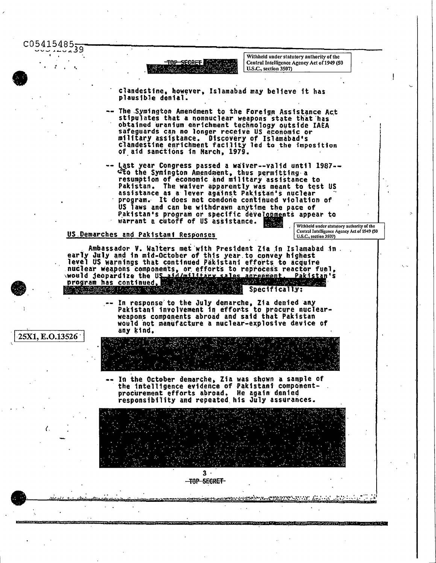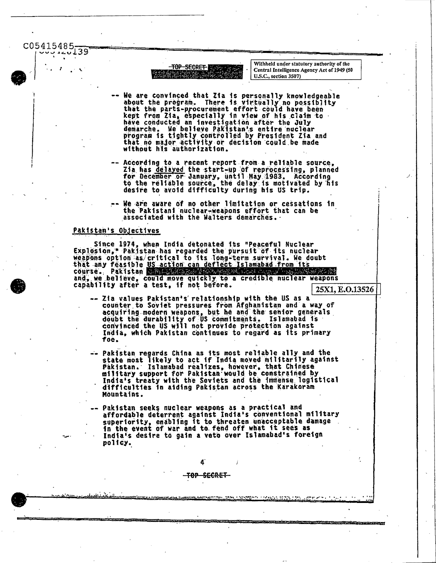C05415485 39



Withheld under statutory authority of the Central Intelligence Agency Act of 1949 (50 U.S.C., section 3507)

- We are convinced that Zia is personally knowledgeable<br>about the program. There is virtually no possibility<br>that the parts-procurement effort could have been<br>kept from Zia, especially in view of his claim to<br>have conducted We believe Pakistan's entire nuclear demarche. program is tightly controlled by President Zia and<br>that no major activity or decision could be made without his authorization.
- -- According to a recent report from a reliable source, Zia has delayed the start-up of reprocessing, planned<br>for December or January, until May 1983. According<br>to the reliable source, the delay is motivated by his desire to avoid difficulty during his US trip.
- We are aware of no other limitation or cessations in the Pakistani nuclear-weapons effort that can be associated with the Walters demarches.

### Pakistan's Objectives

Since 1974, when India detonated its "Peaceful Nuclear<br>Explosion," Pakistan has regarded the pursuit of its nuclear<br>weapons option as/critical to its long-term survival. We doubt<br>that any feasible US action can deflect Isl Pakistan William Reserve course. RATAN SOA SERIA DA BANA A and, we believe, could move quickly to a credible nuclear weapons<br>capability after a test, if not before.

25X1, E.O.13526

- -- Zia values Pakistan's' relationship with the US as a counter to Soviet pressures from Afghanistan and a way of acquiring modern weapons, but he and the senior generals<br>doubt the durability of US commitments. Islamabed is<br>convinced the US will not provide protection against India, which Pakistan continues to regard as its primary foe.
- -- Pakistan regards China as its most reliable ally and the<br>state most likely to act if India moved militarily against Pakistan. Islamabad realizes, however, that Chinese military support for Pakistan would be constrained by India's treaty with the Soviets and the immense logistical difficulties in aiding Pakistan across the Karakoram Mountains.
- -- Pakistan seeks nuclear weapons as a practical and affordable deterrent against India's conventional military superiority, enabling it to threaten unacceptable damage<br>in the event of war and to fend off what it sees as India's desire to gain a veto over Islamabad's foreign policy.

<del>TOP SECRET</del>

<u>men aan namma</u>nti raabatu waxa am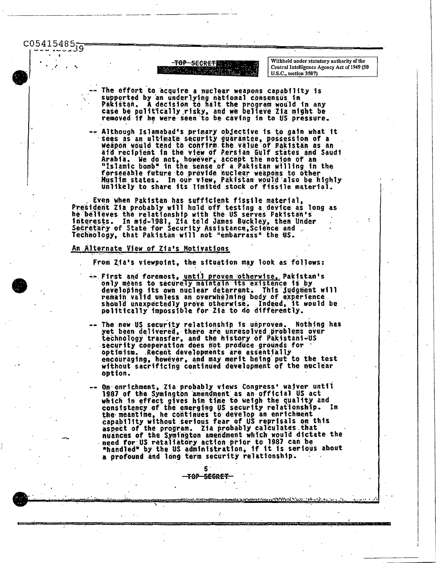$C05415485_{39}$ 

TOP SECRET NAME  $\mathbb{Z} \subset \mathbb{R}^n$ 

Withheld under statutory authority of the Central Intelligence Agency Act of 1949 (50 U.S.C., section 3507)

- The effort to acquire a nuclear weapons capability is supported by an underlying national consensus in<br>Pakistan. A decision to halt the program would in any<br>case be politically risky, and we believe Zia might be<br>removed if he were seen to be caving in to US pressure.
- Although Islamabad's primary objective is to gain what it sees as an ultimate security guarantee, possession of a<br>weapon would tend to confirm the value of Pakistan as an aid recipient in the view of Persian Gulf states and Saudi Arabia. We do not, however, accept the notion of an "Islamic bomb" in the sense of a Pakistan willing in the forseeable future to provide nuclear weapons to other<br>Muslim states. In our view, Pakistan would also be highly unlikely to share its limited stock of fissile material.

Even when Pakistan has sufficient fissile material,<br>President Zia probably will hold off testing a device as long as he belleves the relationship with the US serves Pakistan's<br>interests. In mid-1981, Zia told James Buckley, then Under<br>Secretary of State for Security Assistance, Science and Technology, that Pakistan will not "embarrass" the US.

#### An Alternate View of Zia's Motivations

From Zia's viewpoint, the situation may look as follows:

- -- First and foremost, until proven otherwise, Pakistan's only means to securely maintain its existence is by developing its own nuclear deterrent. This judgment will remain valid unless an overwhelming body of experience<br>should unexpectedly prove otherwise. Indeed, it would be<br>politically impossible for 21a to do differently.
- The new US security relationship is unproven. Nothing has<br>yet been delivered, there are unresolved problems over<br>technology transfer, and the history of Pakistani-US<br>security cooperation does not produce grounds for optimism. Recent developments are essentially encouraging, however, and may merit being put to the test<br>without sacrificing continued development of the nuclear option.
- On enrichment, Zia probably views Congress' waiver until 1987 of the Symington amendment as an official US act which in effect gives him time to weigh the quality and consistency of the emerging US security relationship.<br>the meantime, he continues to develop an enrichment<br>capability without serious fear of US reprisals on this 1n aspect of the program. Zia probably calculates that<br>nuances of the Symington amendment which would dictate the need for US retallatory action prior to 1987 can be<br>"handled" by the US administration, if it is serious about a profound and long term security relationship.

rando de contratar a Nova e esta

я. <del>TOP SECRET</del>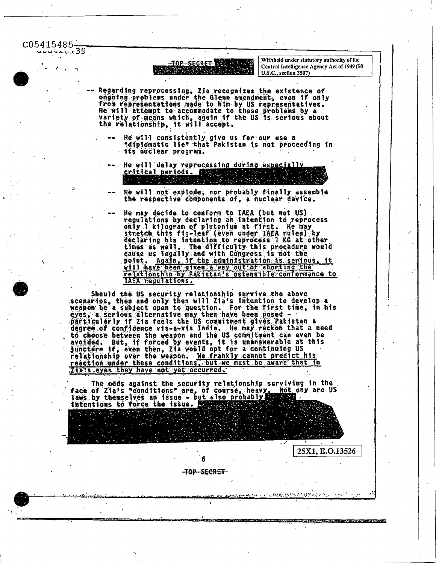C05415485- $222222239$ 

> <del>secret</del> l <del>ቸ0ዖ</del>

Withheld under statutory authority of the Central Intelligence Agency Act of 1949 (50 U.S.C., section 3507)

25X1, E.O.13526

**Common School and Common School Common School Common School Common School** 

anterior navigative col

- Regarding reprocessing, Zia recognizes the existence of<br>ongoing problems under the Glenn amendment, even if only<br>from representations made to him by US representatives. He will attempt to accommodate to these problems by a variety of means which, again if the US is serious about<br>the relationship, it will accept.
	- He will consistently give us for our use a "diplomatic lie" that Pakistan is not proceeding in its nuclear program.
	- He will delay reprocessing during especially critical periods.  $\mathcal{L} = \{ \mathcal{L} \in \mathcal{L} \mid \mathcal{L} \in \mathcal{L} \}$ 
		- He will not explode, nor probably finally assemble the respective components of, a nuclear device.
	- He may decide to conform to IAEA (but not US). regulations by declaring an intention to reprocess regulations by declaring an intention to reprocess<br>only 1 kilogram of plutonium at first. He may<br>stretch this fig-leaf (even under IAEA rules) by<br>declaring his intention to reprocess 1 KG at other<br>times as well. The diffic Again, if the administration is serious, it point. will have been given a way out of aborting the relationship by Pakistan's ostensible conformance to

Should the US security relationship survive the above<br>scenarios, then and only then will Zia's intention to develop a<br>weapon be a subject open to question. For the first time, in his<br>eyes, a serious alternative may then ha degree of confidence vis-a-vis India. He may reckon that a need to choose between the weapon and the US commitment can even be<br>avoided. But, if forced by events, it is unanswerable at this<br>juncture if, even then, Zia would opt for a continuing US<br>reaction under the weapon. Me frankly c reaction under these conditions, but we must be aware that in Zia's eyes they have not yet occurred.

The odds against the security relationship surviving in the<br>face of Zia's "conditions" are, of course, heavy. Not ony are U.<br>laws by themselves an issue - but also probably the course. Not ony are US intentions to force the issue.

<del>-top-secret-</del>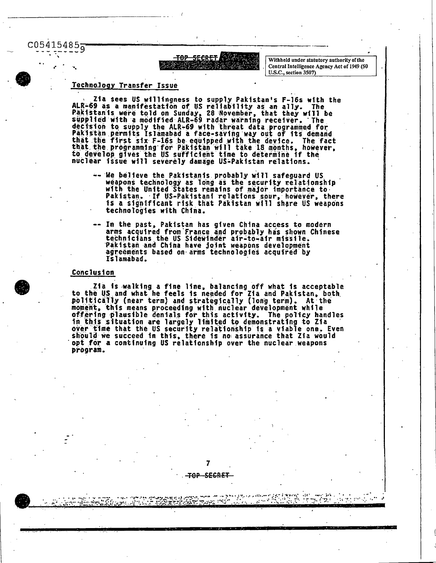$C054154859$ 



Withheld under statutory authority of the Central Intelligence Agency Act of 1949 (50 U.S.C., section 3507)

# Technology Transfer Issue

Zia sees US willingness to supply Pakistan's F-16s with the ALR-69 as a manifestation of US reliability as an ally. The<br>Pakistanis were told on Sunday, 28 November, that they will be<br>supplied with a modified ALR-69 radar warning receiver. The<br>decision to supply the ALR-69 with thre Pakistan permits Islamabad a face-saving way out of its demand that the first six F-16s be equipped with the device. The fact<br>that the programming for Pakistan will take 18 months, however,<br>to develop gives the US sufficient time to determine if the<br>nuclear issue will severely damage

- -- We believe the Pakistanis probably will safeguard US weapons technology as long as the security relationship with the United States remains of major importance to Pakistan. If US-Pakistani relations sour, however, there is a significant risk that Pakistan will share US weapons technologies with China.
- -- In the past, Pakistan has given China access to modern arms acquired from France and probably has shown Chinese technicians the US Sidewinder air-to-air missile. Pakistan and China have joint weapons development agreements based on arms technologies acquired by Islamabad.

## Conclusion

Zia is walking a fine line, balancing off what is acceptable to the US and what he feels is needed for Zia and Pakistan, both politically (near term) and strategically (long term). At the moment, this means proceeding with nuclear development while<br>offering plausible denials for this activity. The policy handles in this situation are largely limited to demonstrating to Zia over time that the US security relationship is a viable one. Even should we succeed in this, there is no assurance that Zia would opt for a continuing US relationship over the nuclear weapons program.

7

S<del>ECRET</del>

∓ፀ₽-